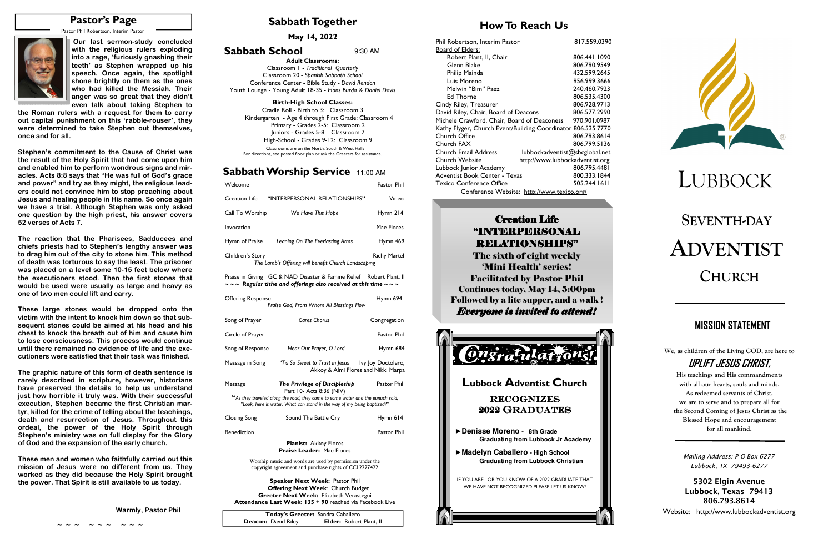# **SEVENTH-DAYADVENTISTCHURCH**

**Sabbath Together** 

## **Sabbath Worship Service** 11:00 AM

# **How To Reach Us**

**May 14, 2022** 



| Welcome                  |                                                                                                                                                                  | Pastor Phil        |
|--------------------------|------------------------------------------------------------------------------------------------------------------------------------------------------------------|--------------------|
| <b>Creation Life</b>     | "INTERPERSONAL RELATIONSHIPS"                                                                                                                                    | Video              |
| Call To Worship          | We Have This Hope                                                                                                                                                | Hymn 214           |
| Invocation               |                                                                                                                                                                  | Mae Flores         |
| Hymn of Praise           | Leaning On The Everlasting Arms                                                                                                                                  | Hymn 469           |
| Children's Story         | The Lamb's Offering will benefit Church Landscaping                                                                                                              | Richy Martel       |
|                          | Praise in Giving GC & NAD Disaster & Famine Relief Robert Plant, II<br>$\sim$ $\sim$ Regular tithe and offerings also received at this time $\sim$ $\sim$ $\sim$ |                    |
| <b>Offering Response</b> | Praise God, From Whom All Blessings Flow                                                                                                                         | Hymn 694           |
| Song of Prayer           | <b>Cares Chorus</b>                                                                                                                                              | Congregation       |
| Circle of Prayer         |                                                                                                                                                                  | Pastor Phil        |
| Song of Response         | Hear Our Prayer, O Lord                                                                                                                                          | Hymn 684           |
| Message in Song          | 'Tis So Sweet to Trust in lesus                                                                                                                                  | Ivy loy Doctolero. |

| Offering Response | Praise God, From Whom All Blessings Flow                                                                                                                              | Hymn 694                            |
|-------------------|-----------------------------------------------------------------------------------------------------------------------------------------------------------------------|-------------------------------------|
| Song of Prayer    | <b>Cares Chorus</b>                                                                                                                                                   | Congregation                        |
| Circle of Prayer  |                                                                                                                                                                       | Pastor Phil                         |
| Song of Response  | Hear Our Prayer, O Lord                                                                                                                                               | Hymn 684                            |
| Message in Song   | 'Tis So Sweet to Trust in Jesus ly Joy Doctolero,                                                                                                                     | Akkoy & Almi Flores and Nikki Marpa |
| Message           | The Privilege of Discipleship<br>Part 10- Acts 8:36 (NIV)                                                                                                             | Pastor Phil                         |
|                   | <sup>36</sup> As they traveled along the road, they came to some water and the eunuch said,<br>"Look, here is water. What can stand in the way of my being baptized?" |                                     |
| Closing Song      | Sound The Battle Cry                                                                                                                                                  | Hymn 614                            |
| Benediction       |                                                                                                                                                                       | Pastor Phil                         |

**Pianist:** Akkoy Flores**Praise Leader:** Mae Flores

Worship music and words are used by permission under the copyright agreement and purchase rights of CCL2227422

**Speaker Next Week:** Pastor Phil  **Offering Next Week**: Church Budget **Greeter Next Week:** Elizabeth Verastegui **Attendance Last Week: 135 + 90** reached via Facebook Live **We, as children of the Living GOD, are here to UPLIFT JESUS CHRIST,** 

**His teachings and His commandments with all our hearts, souls and minds. As redeemed servants of Christ, we are to serve and to prepare all for the Second Coming of Jesus Christ as the Blessed Hope and encouragement for all mankind.** 

# **Creation Life** "INTERPERSONAL RELATIONSHIPS" RELATIONSHIPS"

# **MISSION STATEMENT**

**Adult Classrooms:** Classroom 1 - *Traditional Quarterly*  Classroom 20 *- Spanish Sabbath School*  Conference Center - Bible Study *- David Rendon* Youth Lounge - Young Adult 18-35 - *Hans Burda & Daniel Davis*

### **Birth-High School Classes:**

 Cradle Roll - Birth to 3: Classroom 3 Kindergarten - Age 4 through First Grade: Classroom 4 Primary - Grades 2-5: Classroom 2 Juniors - Grades 5-8: Classroom 7 High-School **-** Grades 9-12: Classroom 9 Classrooms are on the North, South & West Halls For directions, see posted floor plan or ask the Greeters for assistance.

**Sabbath School** 9:30 AM

| Today's Greeter: Sandra Caballero |                                |  |
|-----------------------------------|--------------------------------|--|
| <b>Deacon:</b> David Riley        | <b>Elder:</b> Robert Plant, II |  |

# **Pastor's Page**

Pastor Phil Robertson, Interim Pastor



**~ ~ ~ ~ ~ ~ ~ ~ ~** 

| Phil Robertson, Interim Pastor                               | 817.559.0390 |
|--------------------------------------------------------------|--------------|
| <b>Board of Elders:</b>                                      |              |
| Robert Plant, II, Chair                                      | 806.441.1090 |
| Glenn Blake                                                  | 806.790.9549 |
| Philip Mainda                                                | 432.599.2645 |
| Luis Moreno                                                  | 956.999.3666 |
| Melwin "Bim" Paez                                            | 240.460.7923 |
| <b>Ed Thorne</b>                                             | 806.535.4300 |
| Cindy Riley, Treasurer                                       | 806.928.9713 |
| David Riley, Chair, Board of Deacons                         | 806.577.2990 |
| Michele Crawford, Chair, Board of Deaconess                  | 970.901.0987 |
| Kathy Flyger, Church Event/Building Coordinator 806.535.7770 |              |
| Church Office                                                | 806.793.8614 |
| Church FAX                                                   | 806.799.5136 |
| Church Email Address<br>lubbockadventist@sbcglobal.net       |              |
| Church Website<br>http://www.lubbockadventist.org            |              |
| Lubbock Junior Academy                                       | 806.795.4481 |
| Adventist Book Center - Texas                                | 800.333.1844 |
| <b>Texico Conference Office</b>                              | 505.244.1611 |
| Conference Website: http://www.texico.org/                   |              |

The sixth of eight weekly 'Mini Health' series! Facilitated by Pastor Phil Continues today, May 14, 5:00pm Followed by a lite supper, and a walk ! *Everyone is invited to attend!*



 **Our last sermon-study concluded with the religious rulers exploding into a rage, 'furiously gnashing their teeth' as Stephen wrapped up his speech. Once again, the spotlight shone brightly on them as the ones who had killed the Messiah. Their anger was so great that they didn't even talk about taking Stephen to** 

 **the Roman rulers with a request for them to carry out capital punishment on this 'rabble-rouser', they were determined to take Stephen out themselves, once and for all.** 

**Stephen's commitment to the Cause of Christ was the result of the Holy Spirit that had come upon him and enabled him to perform wondrous signs and miracles. Acts 8:8 says that "He was full of God's grace and power" and try as they might, the religious leaders could not convince him to stop preaching about Jesus and healing people in His name. So once again we have a trial. Although Stephen was only asked one question by the high priest, his answer covers 52 verses of Acts 7.** 

**The reaction that the Pharisees, Sadducees and chiefs priests had to Stephen's lengthy answer was to drag him out of the city to stone him. This method of death was torturous to say the least. The prisoner was placed on a level some 10-15 feet below where the executioners stood. Then the first stones that would be used were usually as large and heavy as one of two men could lift and carry.** 

**These large stones would be dropped onto the victim with the intent to knock him down so that subsequent stones could be aimed at his head and his chest to knock the breath out of him and cause him to lose consciousness. This process would continue until there remained no evidence of life and the executioners were satisfied that their task was finished.** 

**The graphic nature of this form of death sentence is rarely described in scripture, however, historians have preserved the details to help us understand just how horrible it truly was. With their successful execution, Stephen became the first Christian martyr, killed for the crime of telling about the teachings, death and resurrection of Jesus. Throughout this ordeal, the power of the Holy Spirit through Stephen's ministry was on full display for the Glory of God and the expansion of the early church.** 

**These men and women who faithfully carried out this mission of Jesus were no different from us. They worked as they did because the Holy Spirit brought the power. That Spirit is still available to us today.** 

 **Warmly, Pastor Phil** 



*Mailing Address: P O Box 6277 Lubbock, TX 79493-6277* 

**5302 Elgin Avenue Lubbock, Texas 79413 806.793.8614** 

Website: http://www.lubbockadventist.org